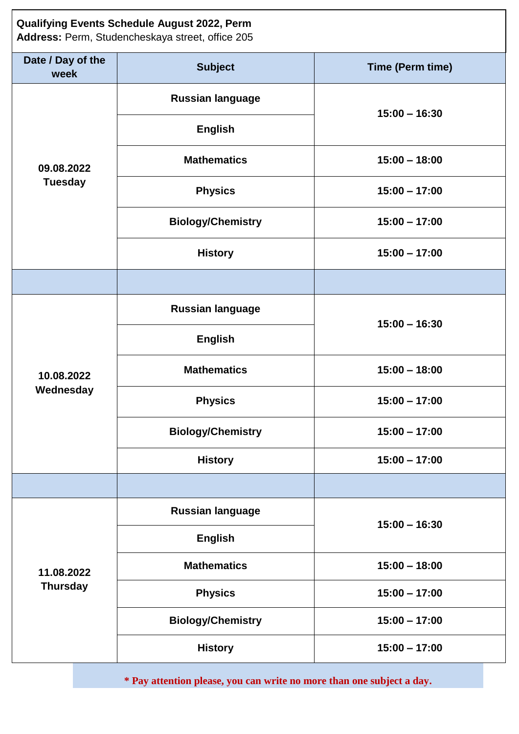| Qualifying Events Schedule August 2022, Perm<br>Address: Perm, Studencheskaya street, office 205 |                          |                  |  |
|--------------------------------------------------------------------------------------------------|--------------------------|------------------|--|
| Date / Day of the<br>week                                                                        | <b>Subject</b>           | Time (Perm time) |  |
| 09.08.2022<br><b>Tuesday</b>                                                                     | <b>Russian language</b>  | $15:00 - 16:30$  |  |
|                                                                                                  | <b>English</b>           |                  |  |
|                                                                                                  | <b>Mathematics</b>       | $15:00 - 18:00$  |  |
|                                                                                                  | <b>Physics</b>           | $15:00 - 17:00$  |  |
|                                                                                                  | <b>Biology/Chemistry</b> | $15:00 - 17:00$  |  |
|                                                                                                  | <b>History</b>           | $15:00 - 17:00$  |  |
|                                                                                                  |                          |                  |  |
| 10.08.2022<br>Wednesday                                                                          | <b>Russian language</b>  | $15:00 - 16:30$  |  |
|                                                                                                  | <b>English</b>           |                  |  |
|                                                                                                  | <b>Mathematics</b>       | $15:00 - 18:00$  |  |
|                                                                                                  | <b>Physics</b>           | $15:00 - 17:00$  |  |
|                                                                                                  | <b>Biology/Chemistry</b> | $15:00 - 17:00$  |  |
|                                                                                                  | <b>History</b>           | $15:00 - 17:00$  |  |
|                                                                                                  |                          |                  |  |
| 11.08.2022<br><b>Thursday</b>                                                                    | <b>Russian language</b>  | $15:00 - 16:30$  |  |
|                                                                                                  | <b>English</b>           |                  |  |
|                                                                                                  | <b>Mathematics</b>       | $15:00 - 18:00$  |  |
|                                                                                                  | <b>Physics</b>           | $15:00 - 17:00$  |  |
|                                                                                                  | <b>Biology/Chemistry</b> | $15:00 - 17:00$  |  |
|                                                                                                  | <b>History</b>           | $15:00 - 17:00$  |  |

**\* Pay attention please, you can write no more than one subject a day.**